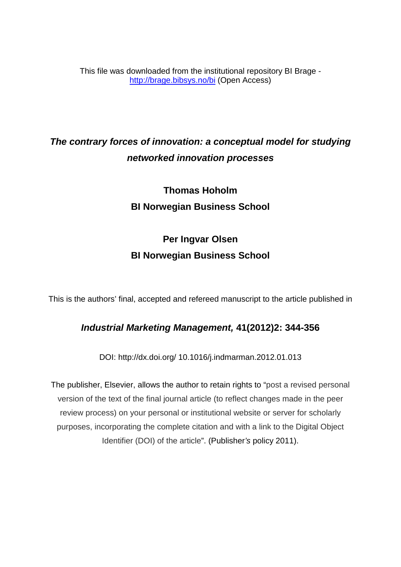This file was downloaded from the institutional repository BI Brage <http://brage.bibsys.no/bi> (Open Access)

## *The contrary forces of innovation: a conceptual model for studying networked innovation processes*

## **Thomas Hoholm BI Norwegian Business School**

# **Per Ingvar Olsen BI Norwegian Business School**

This is the authors' final, accepted and refereed manuscript to the article published in

## *Industrial Marketing Management,* **41(2012)2: 344-356**

DOI: http://dx.doi.org/ [10.1016/j.indmarman.2012.01.013](http://dx.doi.org/10.1016/j.indmarman.2012.01.013)

The publisher, Elsevier, allows the author to retain rights to "post a revised personal version of the text of the final journal article (to reflect changes made in the peer review process) on your personal or institutional website or server for scholarly purposes, incorporating the complete citation and with a link to the Digital Object Identifier (DOI) of the article". (Publisher*'s* policy 2011).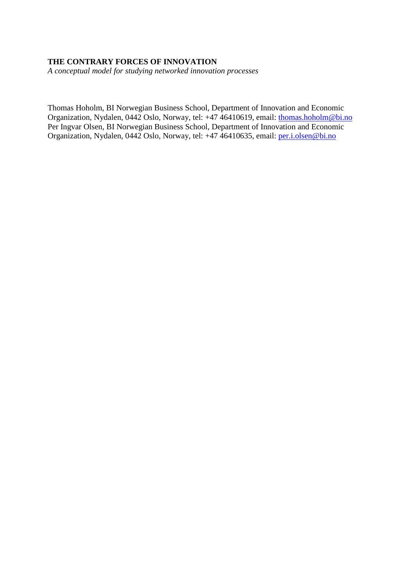## **THE CONTRARY FORCES OF INNOVATION**

*A conceptual model for studying networked innovation processes*

Thomas Hoholm, BI Norwegian Business School, Department of Innovation and Economic Organization, Nydalen, 0442 Oslo, Norway, tel: +47 46410619, email: [thomas.hoholm@bi.no](mailto:thomas.hoholm@bi.no) Per Ingvar Olsen, BI Norwegian Business School, Department of Innovation and Economic Organization, Nydalen, 0442 Oslo, Norway, tel: +47 46410635, email: [per.i.olsen@bi.no](mailto:per.i.olsen@bi.no)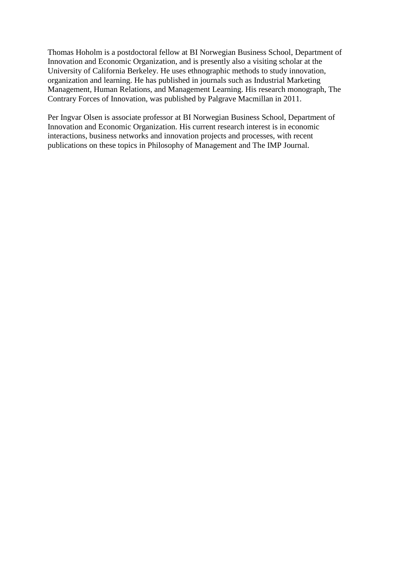Thomas Hoholm is a postdoctoral fellow at BI Norwegian Business School, Department of Innovation and Economic Organization, and is presently also a visiting scholar at the University of California Berkeley. He uses ethnographic methods to study innovation, organization and learning. He has published in journals such as Industrial Marketing Management, Human Relations, and Management Learning. His research monograph, The Contrary Forces of Innovation, was published by Palgrave Macmillan in 2011.

Per Ingvar Olsen is associate professor at BI Norwegian Business School, Department of Innovation and Economic Organization. His current research interest is in economic interactions, business networks and innovation projects and processes, with recent publications on these topics in Philosophy of Management and The IMP Journal.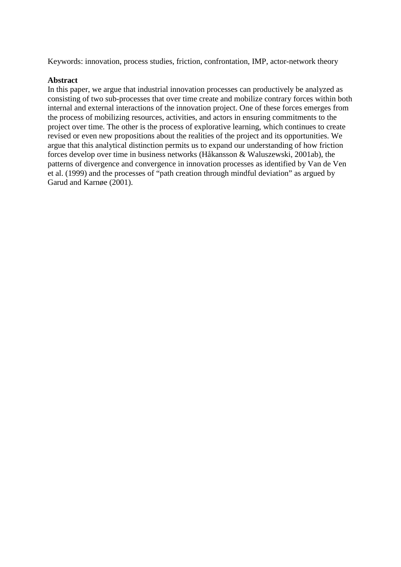Keywords: innovation, process studies, friction, confrontation, IMP, actor-network theory

#### **Abstract**

In this paper, we argue that industrial innovation processes can productively be analyzed as consisting of two sub-processes that over time create and mobilize contrary forces within both internal and external interactions of the innovation project. One of these forces emerges from the process of mobilizing resources, activities, and actors in ensuring commitments to the project over time. The other is the process of explorative learning, which continues to create revised or even new propositions about the realities of the project and its opportunities. We argue that this analytical distinction permits us to expand our understanding of how friction forces develop over time in business networks (Håkansson & Waluszewski, 2001ab), the patterns of divergence and convergence in innovation processes as identified by Van de Ven et al. (1999) and the processes of "path creation through mindful deviation" as argued by Garud and Karnøe (2001).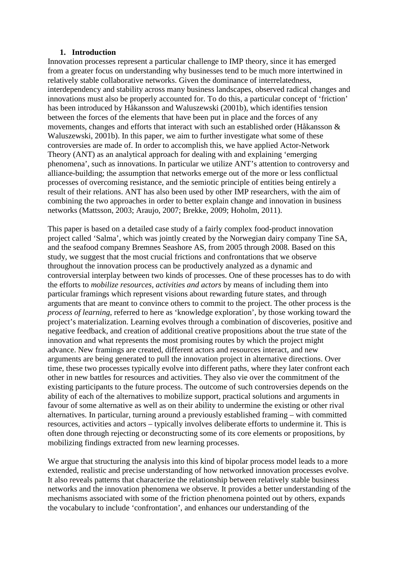### **1. Introduction**

Innovation processes represent a particular challenge to IMP theory, since it has emerged from a greater focus on understanding why businesses tend to be much more intertwined in relatively stable collaborative networks. Given the dominance of interrelatedness, interdependency and stability across many business landscapes, observed radical changes and innovations must also be properly accounted for. To do this, a particular concept of 'friction' has been introduced by Håkansson and Waluszewski (2001b), which identifies tension between the forces of the elements that have been put in place and the forces of any movements, changes and efforts that interact with such an established order (Håkansson & Waluszewski, 2001b). In this paper, we aim to further investigate what some of these controversies are made of. In order to accomplish this, we have applied Actor-Network Theory (ANT) as an analytical approach for dealing with and explaining 'emerging phenomena', such as innovations. In particular we utilize ANT's attention to controversy and alliance-building; the assumption that networks emerge out of the more or less conflictual processes of overcoming resistance, and the semiotic principle of entities being entirely a result of their relations. ANT has also been used by other IMP researchers, with the aim of combining the two approaches in order to better explain change and innovation in business networks (Mattsson, 2003; Araujo, 2007; Brekke, 2009; Hoholm, 2011).

This paper is based on a detailed case study of a fairly complex food-product innovation project called 'Salma', which was jointly created by the Norwegian dairy company Tine SA, and the seafood company Bremnes Seashore AS, from 2005 through 2008. Based on this study, we suggest that the most crucial frictions and confrontations that we observe throughout the innovation process can be productively analyzed as a dynamic and controversial interplay between two kinds of processes. One of these processes has to do with the efforts to *mobilize resources, activities and actors* by means of including them into particular framings which represent visions about rewarding future states*,* and through arguments that are meant to convince others to commit to the project. The other process is the *process of learning*, referred to here as 'knowledge exploration', by those working toward the project's materialization. Learning evolves through a combination of discoveries, positive and negative feedback, and creation of additional creative propositions about the true state of the innovation and what represents the most promising routes by which the project might advance. New framings are created, different actors and resources interact, and new arguments are being generated to pull the innovation project in alternative directions. Over time, these two processes typically evolve into different paths, where they later confront each other in new battles for resources and activities. They also vie over the commitment of the existing participants to the future process. The outcome of such controversies depends on the ability of each of the alternatives to mobilize support, practical solutions and arguments in favour of some alternative as well as on their ability to undermine the existing or other rival alternatives. In particular, turning around a previously established framing – with committed resources, activities and actors – typically involves deliberate efforts to undermine it. This is often done through rejecting or deconstructing some of its core elements or propositions, by mobilizing findings extracted from new learning processes.

We argue that structuring the analysis into this kind of bipolar process model leads to a more extended, realistic and precise understanding of how networked innovation processes evolve. It also reveals patterns that characterize the relationship between relatively stable business networks and the innovation phenomena we observe. It provides a better understanding of the mechanisms associated with some of the friction phenomena pointed out by others, expands the vocabulary to include 'confrontation', and enhances our understanding of the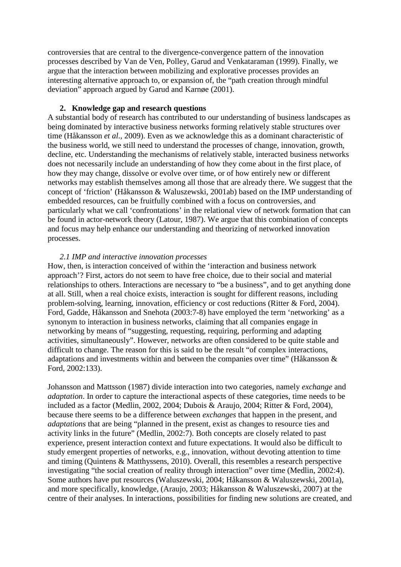controversies that are central to the divergence-convergence pattern of the innovation processes described by Van de Ven, Polley, Garud and Venkataraman (1999). Finally, we argue that the interaction between mobilizing and explorative processes provides an interesting alternative approach to, or expansion of, the "path creation through mindful deviation" approach argued by Garud and Karnøe (2001).

### **2. Knowledge gap and research questions**

A substantial body of research has contributed to our understanding of business landscapes as being dominated by interactive business networks forming relatively stable structures over time (Håkansson *et al*., 2009). Even as we acknowledge this as a dominant characteristic of the business world, we still need to understand the processes of change, innovation, growth, decline, etc. Understanding the mechanisms of relatively stable, interacted business networks does not necessarily include an understanding of how they come about in the first place, of how they may change, dissolve or evolve over time, or of how entirely new or different networks may establish themselves among all those that are already there. We suggest that the concept of 'friction' (Håkansson & Waluszewski, 2001ab) based on the IMP understanding of embedded resources, can be fruitfully combined with a focus on controversies, and particularly what we call 'confrontations' in the relational view of network formation that can be found in actor-network theory (Latour, 1987). We argue that this combination of concepts and focus may help enhance our understanding and theorizing of networked innovation processes.

#### *2.1 IMP and interactive innovation processes*

How, then, is interaction conceived of within the 'interaction and business network approach'? First, actors do not seem to have free choice, due to their social and material relationships to others. Interactions are necessary to "be a business", and to get anything done at all. Still, when a real choice exists, interaction is sought for different reasons, including problem-solving, learning, innovation, efficiency or cost reductions (Ritter & Ford, 2004). Ford, Gadde, Håkansson and Snehota (2003:7-8) have employed the term 'networking' as a synonym to interaction in business networks, claiming that all companies engage in networking by means of "suggesting, requesting, requiring, performing and adapting activities, simultaneously". However, networks are often considered to be quite stable and difficult to change. The reason for this is said to be the result "of complex interactions, adaptations and investments within and between the companies over time" (Håkansson & Ford, 2002:133).

Johansson and Mattsson (1987) divide interaction into two categories, namely *exchange* and *adaptation*. In order to capture the interactional aspects of these categories, time needs to be included as a factor (Medlin, 2002, 2004; Dubois & Araujo, 2004; Ritter & Ford, 2004), because there seems to be a difference between *exchanges* that happen in the present, and *adaptations* that are being "planned in the present, exist as changes to resource ties and activity links in the future" (Medlin, 2002:7). Both concepts are closely related to past experience, present interaction context and future expectations. It would also be difficult to study emergent properties of networks, e.g., innovation, without devoting attention to time and timing (Quintens & Matthyssens, 2010). Overall, this resembles a research perspective investigating "the social creation of reality through interaction" over time (Medlin, 2002:4). Some authors have put resources (Waluszewski, 2004; Håkansson & Waluszewski, 2001a), and more specifically, knowledge, (Araujo, 2003; Håkansson & Waluszewski, 2007) at the centre of their analyses. In interactions, possibilities for finding new solutions are created, and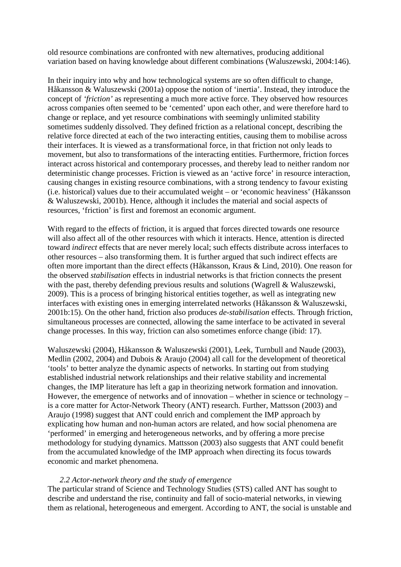old resource combinations are confronted with new alternatives, producing additional variation based on having knowledge about different combinations (Waluszewski, 2004:146).

In their inquiry into why and how technological systems are so often difficult to change, Håkansson & Waluszewski (2001a) oppose the notion of 'inertia'. Instead, they introduce the concept of *'friction'* as representing a much more active force. They observed how resources across companies often seemed to be 'cemented' upon each other, and were therefore hard to change or replace, and yet resource combinations with seemingly unlimited stability sometimes suddenly dissolved. They defined friction as a relational concept, describing the relative force directed at each of the two interacting entities, causing them to mobilise across their interfaces. It is viewed as a transformational force, in that friction not only leads to movement, but also to transformations of the interacting entities. Furthermore, friction forces interact across historical and contemporary processes, and thereby lead to neither random nor deterministic change processes. Friction is viewed as an 'active force' in resource interaction, causing changes in existing resource combinations, with a strong tendency to favour existing (i.e. historical) values due to their accumulated weight – or 'economic heaviness' (Håkansson & Waluszewski, 2001b). Hence, although it includes the material and social aspects of resources, 'friction' is first and foremost an economic argument.

With regard to the effects of friction, it is argued that forces directed towards one resource will also affect all of the other resources with which it interacts. Hence, attention is directed toward *indirect* effects that are never merely local; such effects distribute across interfaces to other resources – also transforming them. It is further argued that such indirect effects are often more important than the direct effects (Håkansson, Kraus & Lind, 2010). One reason for the observed *stabilisation* effects in industrial networks is that friction connects the present with the past, thereby defending previous results and solutions (Wagrell & Waluszewski, 2009). This is a process of bringing historical entities together, as well as integrating new interfaces with existing ones in emerging interrelated networks (Håkansson & Waluszewski, 2001b:15). On the other hand, friction also produces *de-stabilisation* effects. Through friction, simultaneous processes are connected, allowing the same interface to be activated in several change processes. In this way, friction can also sometimes enforce change (ibid: 17).

Waluszewski (2004), Håkansson & Waluszewski (2001), Leek, Turnbull and Naude (2003), Medlin (2002, 2004) and Dubois & Araujo (2004) all call for the development of theoretical 'tools' to better analyze the dynamic aspects of networks. In starting out from studying established industrial network relationships and their relative stability and incremental changes, the IMP literature has left a gap in theorizing network formation and innovation. However, the emergence of networks and of innovation – whether in science or technology – is a core matter for Actor-Network Theory (ANT) research. Further, Mattsson (2003) and Araujo (1998) suggest that ANT could enrich and complement the IMP approach by explicating how human and non-human actors are related, and how social phenomena are 'performed' in emerging and heterogeneous networks, and by offering a more precise methodology for studying dynamics. Mattsson (2003) also suggests that ANT could benefit from the accumulated knowledge of the IMP approach when directing its focus towards economic and market phenomena.

#### *2.2 Actor-network theory and the study of emergence*

The particular strand of Science and Technology Studies (STS) called ANT has sought to describe and understand the rise, continuity and fall of socio-material networks, in viewing them as relational, heterogeneous and emergent. According to ANT, the social is unstable and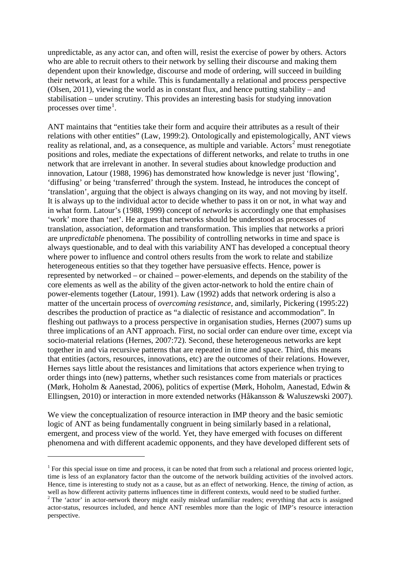<span id="page-7-1"></span>unpredictable, as any actor can, and often will, resist the exercise of power by others. Actors who are able to recruit others to their network by selling their discourse and making them dependent upon their knowledge, discourse and mode of ordering, will succeed in building their network, at least for a while. This is fundamentally a relational and process perspective (Olsen, 2011), viewing the world as in constant flux, and hence putting stability – and stabilisation – under scrutiny. This provides an interesting basis for studying innovation processes over time<sup>[1](#page-7-0)</sup>.

ANT maintains that "entities take their form and acquire their attributes as a result of their relations with other entities" (Law, 1999:2). Ontologically and epistemologically, ANT views reality as relational, and, as a consequence, as multiple and variable. Actors<sup>[2](#page-7-1)</sup> must renegotiate positions and roles, mediate the expectations of different networks, and relate to truths in one network that are irrelevant in another. In several studies about knowledge production and innovation, Latour (1988, 1996) has demonstrated how knowledge is never just 'flowing', 'diffusing' or being 'transferred' through the system. Instead, he introduces the concept of 'translation', arguing that the object is always changing on its way, and not moving by itself. It is always up to the individual actor to decide whether to pass it on or not, in what way and in what form. Latour's (1988, 1999) concept of *networks* is accordingly one that emphasises 'work' more than 'net'. He argues that networks should be understood as processes of translation, association, deformation and transformation. This implies that networks a priori are *unpredictable* phenomena. The possibility of controlling networks in time and space is always questionable, and to deal with this variability ANT has developed a conceptual theory where power to influence and control others results from the work to relate and stabilize heterogeneous entities so that they together have persuasive effects. Hence, power is represented by networked – or chained – power-elements, and depends on the stability of the core elements as well as the ability of the given actor-network to hold the entire chain of power-elements together (Latour, 1991). Law (1992) adds that network ordering is also a matter of the uncertain process of *overcoming resistance,* and, similarly, Pickering (1995:22) describes the production of practice as "a dialectic of resistance and accommodation". In fleshing out pathways to a process perspective in organisation studies, Hernes (2007) sums up three implications of an ANT approach. First, no social order can endure over time, except via socio-material relations (Hernes, 2007:72). Second, these heterogeneous networks are kept together in and via recursive patterns that are repeated in time and space. Third, this means that entities (actors, resources, innovations, etc) are the outcomes of their relations. However, Hernes says little about the resistances and limitations that actors experience when trying to order things into (new) patterns, whether such resistances come from materials or practices (Mørk, Hoholm & Aanestad, 2006), politics of expertise (Mørk, Hoholm, Aanestad, Edwin & Ellingsen, 2010) or interaction in more extended networks (Håkansson & Waluszewski 2007).

We view the conceptualization of resource interaction in IMP theory and the basic semiotic logic of ANT as being fundamentally congruent in being similarly based in a relational, emergent, and process view of the world. Yet, they have emerged with focuses on different phenomena and with different academic opponents, and they have developed different sets of

 $\overline{a}$ 

<sup>&</sup>lt;sup>1</sup> For this special issue on time and process, it can be noted that from such a relational and process oriented logic, time is less of an explanatory factor than the outcome of the network building activities of the involved actors. Hence, time is interesting to study not as a cause, but as an effect of networking. Hence, the *timing* of action, as well as how different activity patterns influences time in different contexts, would need to be studied further.

<span id="page-7-0"></span> $2$  The 'actor' in actor-network theory might easily mislead unfamiliar readers; everything that acts is assigned actor-status, resources included, and hence ANT resembles more than the logic of IMP's resource interaction perspective.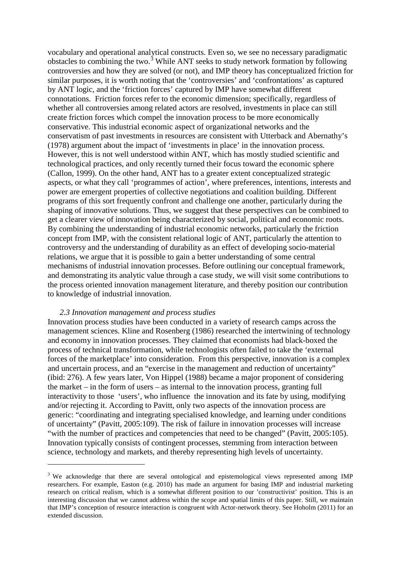vocabulary and operational analytical constructs. Even so, we see no necessary paradigmatic obstacles to combining the two.<sup>[3](#page-8-0)</sup> While ANT seeks to study network formation by following controversies and how they are solved (or not), and IMP theory has conceptualized friction for similar purposes, it is worth noting that the 'controversies' and 'confrontations' as captured by ANT logic, and the 'friction forces' captured by IMP have somewhat different connotations. Friction forces refer to the economic dimension; specifically, regardless of whether all controversies among related actors are resolved, investments in place can still create friction forces which compel the innovation process to be more economically conservative. This industrial economic aspect of organizational networks and the conservatism of past investments in resources are consistent with Utterback and Abernathy's (1978) argument about the impact of 'investments in place' in the innovation process. However, this is not well understood within ANT, which has mostly studied scientific and technological practices, and only recently turned their focus toward the economic sphere (Callon, 1999). On the other hand, ANT has to a greater extent conceptualized strategic aspects, or what they call 'programmes of action', where preferences, intentions, interests and power are emergent properties of collective negotiations and coalition building. Different programs of this sort frequently confront and challenge one another, particularly during the shaping of innovative solutions. Thus, we suggest that these perspectives can be combined to get a clearer view of innovation being characterized by social, political and economic roots. By combining the understanding of industrial economic networks, particularly the friction concept from IMP, with the consistent relational logic of ANT, particularly the attention to controversy and the understanding of durability as an effect of developing socio-material relations, we argue that it is possible to gain a better understanding of some central mechanisms of industrial innovation processes. Before outlining our conceptual framework, and demonstrating its analytic value through a case study, we will visit some contributions to the process oriented innovation management literature, and thereby position our contribution to knowledge of industrial innovation.

#### *2.3 Innovation management and process studies*

 $\overline{a}$ 

Innovation process studies have been conducted in a variety of research camps across the management sciences. Kline and Rosenberg (1986) researched the intertwining of technology and economy in innovation processes. They claimed that economists had black-boxed the process of technical transformation, while technologists often failed to take the 'external forces of the marketplace' into consideration. From this perspective, innovation is a complex and uncertain process, and an "exercise in the management and reduction of uncertainty" (ibid: 276). A few years later, Von Hippel (1988) became a major proponent of considering the market – in the form of users – as internal to the innovation process, granting full interactivity to those 'users', who influence the innovation and its fate by using, modifying and/or rejecting it. According to Pavitt, only two aspects of the innovation process are generic: "coordinating and integrating specialised knowledge, and learning under conditions of uncertainty" (Pavitt, 2005:109). The risk of failure in innovation processes will increase "with the number of practices and competencies that need to be changed" (Pavitt, 2005:105). Innovation typically consists of contingent processes, stemming from interaction between science, technology and markets, and thereby representing high levels of uncertainty.

<span id="page-8-0"></span><sup>&</sup>lt;sup>3</sup> We acknowledge that there are several ontological and epistemological views represented among IMP researchers. For example, Easton (e.g. 2010) has made an argument for basing IMP and industrial marketing research on critical realism, which is a somewhat different position to our 'constructivist' position. This is an interesting discussion that we cannot address within the scope and spatial limits of this paper. Still, we maintain that IMP's conception of resource interaction is congruent with Actor-network theory. See Hoholm (2011) for an extended discussion.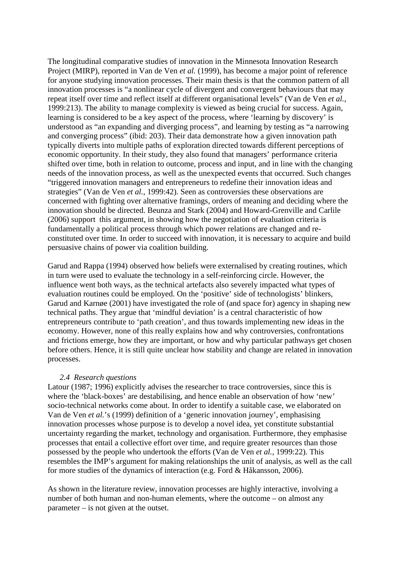The longitudinal comparative studies of innovation in the Minnesota Innovation Research Project (MIRP), reported in Van de Ven *et al.* (1999), has become a major point of reference for anyone studying innovation processes. Their main thesis is that the common pattern of all innovation processes is "a nonlinear cycle of divergent and convergent behaviours that may repeat itself over time and reflect itself at different organisational levels" (Van de Ven *et al.*, 1999:213). The ability to manage complexity is viewed as being crucial for success. Again, learning is considered to be a key aspect of the process, where 'learning by discovery' is understood as "an expanding and diverging process", and learning by testing as "a narrowing and converging process" (ibid: 203). Their data demonstrate how a given innovation path typically diverts into multiple paths of exploration directed towards different perceptions of economic opportunity. In their study, they also found that managers' performance criteria shifted over time, both in relation to outcome, process and input, and in line with the changing needs of the innovation process, as well as the unexpected events that occurred. Such changes "triggered innovation managers and entrepreneurs to redefine their innovation ideas and strategies" (Van de Ven *et al.*, 1999:42). Seen as controversies these observations are concerned with fighting over alternative framings, orders of meaning and deciding where the innovation should be directed. Beunza and Stark (2004) and Howard-Grenville and Carlile (2006) support this argument, in showing how the negotiation of evaluation criteria is fundamentally a political process through which power relations are changed and reconstituted over time. In order to succeed with innovation, it is necessary to acquire and build persuasive chains of power via coalition building.

Garud and Rappa (1994) observed how beliefs were externalised by creating routines, which in turn were used to evaluate the technology in a self-reinforcing circle. However, the influence went both ways, as the technical artefacts also severely impacted what types of evaluation routines could be employed. On the 'positive' side of technologists' blinkers, Garud and Karnøe (2001) have investigated the role of (and space for) agency in shaping new technical paths. They argue that 'mindful deviation' is a central characteristic of how entrepreneurs contribute to 'path creation', and thus towards implementing new ideas in the economy. However, none of this really explains how and why controversies, confrontations and frictions emerge, how they are important, or how and why particular pathways get chosen before others. Hence, it is still quite unclear how stability and change are related in innovation processes.

#### *2.4 Research questions*

Latour (1987; 1996) explicitly advises the researcher to trace controversies, since this is where the 'black-boxes' are destabilising, and hence enable an observation of how 'new' socio-technical networks come about. In order to identify a suitable case, we elaborated on Van de Ven *et al.*'s (1999) definition of a 'generic innovation journey', emphasising innovation processes whose purpose is to develop a novel idea, yet constitute substantial uncertainty regarding the market, technology and organisation. Furthermore, they emphasise processes that entail a collective effort over time, and require greater resources than those possessed by the people who undertook the efforts (Van de Ven *et al.*, 1999:22). This resembles the IMP's argument for making relationships the unit of analysis, as well as the call for more studies of the dynamics of interaction (e.g. Ford & Håkansson, 2006).

As shown in the literature review, innovation processes are highly interactive, involving a number of both human and non-human elements, where the outcome – on almost any parameter – is not given at the outset.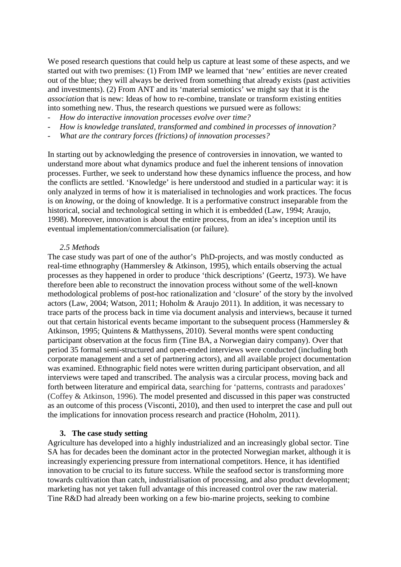We posed research questions that could help us capture at least some of these aspects, and we started out with two premises: (1) From IMP we learned that 'new' entities are never created out of the blue; they will always be derived from something that already exists (past activities and investments). (2) From ANT and its 'material semiotics' we might say that it is the *association* that is new: Ideas of how to re-combine, translate or transform existing entities into something new. Thus, the research questions we pursued were as follows:

- *How do interactive innovation processes evolve over time?*
- *How is knowledge translated, transformed and combined in processes of innovation?*
- *What are the contrary forces (frictions) of innovation processes?*

In starting out by acknowledging the presence of controversies in innovation, we wanted to understand more about what dynamics produce and fuel the inherent tensions of innovation processes. Further, we seek to understand how these dynamics influence the process, and how the conflicts are settled. 'Knowledge' is here understood and studied in a particular way: it is only analyzed in terms of how it is materialised in technologies and work practices. The focus is on *knowing*, or the doing of knowledge. It is a performative construct inseparable from the historical, social and technological setting in which it is embedded (Law, 1994; Araujo, 1998). Moreover, innovation is about the entire process, from an idea's inception until its eventual implementation/commercialisation (or failure).

#### *2.5 Methods*

The case study was part of one of the author's PhD-projects, and was mostly conducted as real-time ethnography (Hammersley & Atkinson, 1995), which entails observing the actual processes as they happened in order to produce 'thick descriptions' (Geertz, 1973). We have therefore been able to reconstruct the innovation process without some of the well-known methodological problems of post-hoc rationalization and 'closure' of the story by the involved actors (Law, 2004; Watson, 2011; Hoholm & Araujo 2011). In addition, it was necessary to trace parts of the process back in time via document analysis and interviews, because it turned out that certain historical events became important to the subsequent process (Hammersley & Atkinson, 1995; Quintens & Matthyssens, 2010). Several months were spent conducting participant observation at the focus firm (Tine BA, a Norwegian dairy company). Over that period 35 formal semi-structured and open-ended interviews were conducted (including both corporate management and a set of partnering actors), and all available project documentation was examined. Ethnographic field notes were written during participant observation, and all interviews were taped and transcribed. The analysis was a circular process, moving back and forth between literature and empirical data, searching for 'patterns, contrasts and paradoxes' (Coffey & Atkinson, 1996). The model presented and discussed in this paper was constructed as an outcome of this process (Visconti, 2010), and then used to interpret the case and pull out the implications for innovation process research and practice (Hoholm, 2011).

#### **3. The case study setting**

Agriculture has developed into a highly industrialized and an increasingly global sector. Tine SA has for decades been the dominant actor in the protected Norwegian market, although it is increasingly experiencing pressure from international competitors. Hence, it has identified innovation to be crucial to its future success. While the seafood sector is transforming more towards cultivation than catch, industrialisation of processing, and also product development; marketing has not yet taken full advantage of this increased control over the raw material. Tine R&D had already been working on a few bio-marine projects, seeking to combine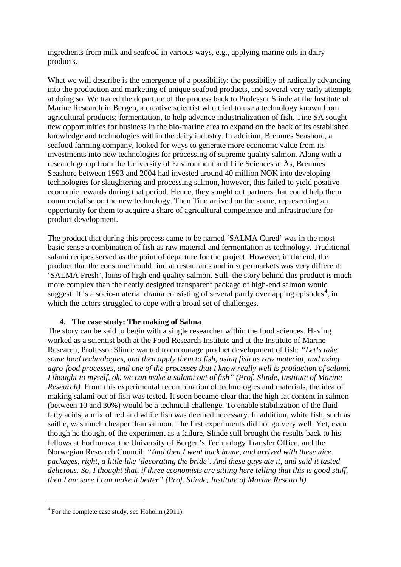ingredients from milk and seafood in various ways, e.g., applying marine oils in dairy products.

What we will describe is the emergence of a possibility: the possibility of radically advancing into the production and marketing of unique seafood products, and several very early attempts at doing so. We traced the departure of the process back to Professor Slinde at the Institute of Marine Research in Bergen, a creative scientist who tried to use a technology known from agricultural products; fermentation, to help advance industrialization of fish. Tine SA sought new opportunities for business in the bio-marine area to expand on the back of its established knowledge and technologies within the dairy industry. In addition, Bremnes Seashore, a seafood farming company, looked for ways to generate more economic value from its investments into new technologies for processing of supreme quality salmon. Along with a research group from the University of Environment and Life Sciences at Ås, Bremnes Seashore between 1993 and 2004 had invested around 40 million NOK into developing technologies for slaughtering and processing salmon, however, this failed to yield positive economic rewards during that period. Hence, they sought out partners that could help them commercialise on the new technology. Then Tine arrived on the scene, representing an opportunity for them to acquire a share of agricultural competence and infrastructure for product development.

The product that during this process came to be named 'SALMA Cured' was in the most basic sense a combination of fish as raw material and fermentation as technology. Traditional salami recipes served as the point of departure for the project. However, in the end, the product that the consumer could find at restaurants and in supermarkets was very different: 'SALMA Fresh', loins of high-end quality salmon. Still, the story behind this product is much more complex than the neatly designed transparent package of high-end salmon would suggest. It is a socio-material drama consisting of several partly overlapping episodes $4$ , in which the actors struggled to cope with a broad set of challenges.

## **4. The case study: The making of Salma**

The story can be said to begin with a single researcher within the food sciences. Having worked as a scientist both at the Food Research Institute and at the Institute of Marine Research, Professor Slinde wanted to encourage product development of fish: *"Let's take some food technologies, and then apply them to fish, using fish as raw material, and using agro-food processes, and one of the processes that I know really well is production of salami. I thought to myself, ok, we can make a salami out of fish" (Prof. Slinde, Institute of Marine Research).* From this experimental recombination of technologies and materials, the idea of making salami out of fish was tested. It soon became clear that the high fat content in salmon (between 10 and 30%) would be a technical challenge. To enable stabilization of the fluid fatty acids, a mix of red and white fish was deemed necessary. In addition, white fish, such as saithe, was much cheaper than salmon. The first experiments did not go very well. Yet, even though he thought of the experiment as a failure, Slinde still brought the results back to his fellows at ForInnova, the University of Bergen's Technology Transfer Office, and the Norwegian Research Council: *"And then I went back home, and arrived with these nice packages, right, a little like 'decorating the bride'. And these guys ate it, and said it tasted delicious. So, I thought that, if three economists are sitting here telling that this is good stuff, then I am sure I can make it better" (Prof. Slinde, Institute of Marine Research).*

 $\overline{a}$ 

<span id="page-11-0"></span> $4$  For the complete case study, see Hoholm (2011).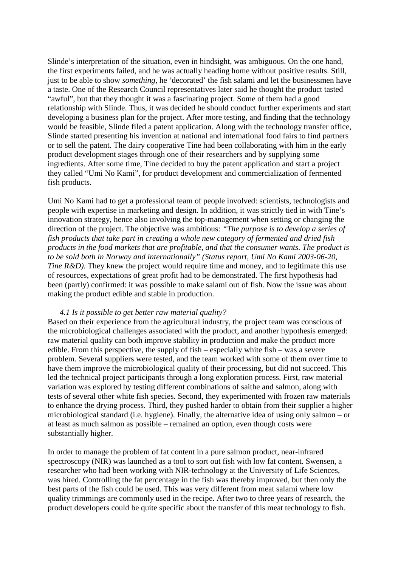Slinde's interpretation of the situation, even in hindsight, was ambiguous. On the one hand, the first experiments failed, and he was actually heading home without positive results. Still, just to be able to show *something*, he 'decorated' the fish salami and let the businessmen have a taste. One of the Research Council representatives later said he thought the product tasted "awful", but that they thought it was a fascinating project. Some of them had a good relationship with Slinde. Thus, it was decided he should conduct further experiments and start developing a business plan for the project. After more testing, and finding that the technology would be feasible, Slinde filed a patent application. Along with the technology transfer office, Slinde started presenting his invention at national and international food fairs to find partners or to sell the patent. The dairy cooperative Tine had been collaborating with him in the early product development stages through one of their researchers and by supplying some ingredients. After some time, Tine decided to buy the patent application and start a project they called "Umi No Kami", for product development and commercialization of fermented fish products.

Umi No Kami had to get a professional team of people involved: scientists, technologists and people with expertise in marketing and design. In addition, it was strictly tied in with Tine's innovation strategy, hence also involving the top-management when setting or changing the direction of the project. The objective was ambitious: *"The purpose is to develop a series of fish products that take part in creating a whole new category of fermented and dried fish products in the food markets that are profitable, and that the consumer wants. The product is to be sold both in Norway and internationally" (Status report, Umi No Kami 2003-06-20, Tine R&D*). They knew the project would require time and money, and to legitimate this use of resources, expectations of great profit had to be demonstrated. The first hypothesis had been (partly) confirmed: it was possible to make salami out of fish. Now the issue was about making the product edible and stable in production.

#### *4.1 Is it possible to get better raw material quality?*

Based on their experience from the agricultural industry, the project team was conscious of the microbiological challenges associated with the product, and another hypothesis emerged: raw material quality can both improve stability in production and make the product more edible. From this perspective, the supply of fish – especially white fish – was a severe problem. Several suppliers were tested, and the team worked with some of them over time to have them improve the microbiological quality of their processing, but did not succeed. This led the technical project participants through a long exploration process. First, raw material variation was explored by testing different combinations of saithe and salmon, along with tests of several other white fish species. Second, they experimented with frozen raw materials to enhance the drying process. Third, they pushed harder to obtain from their supplier a higher microbiological standard (i.e. hygiene). Finally, the alternative idea of using only salmon – or at least as much salmon as possible – remained an option, even though costs were substantially higher.

In order to manage the problem of fat content in a pure salmon product, near-infrared spectroscopy (NIR) was launched as a tool to sort out fish with low fat content. Swensen, a researcher who had been working with NIR-technology at the University of Life Sciences, was hired. Controlling the fat percentage in the fish was thereby improved, but then only the best parts of the fish could be used. This was very different from meat salami where low quality trimmings are commonly used in the recipe. After two to three years of research, the product developers could be quite specific about the transfer of this meat technology to fish.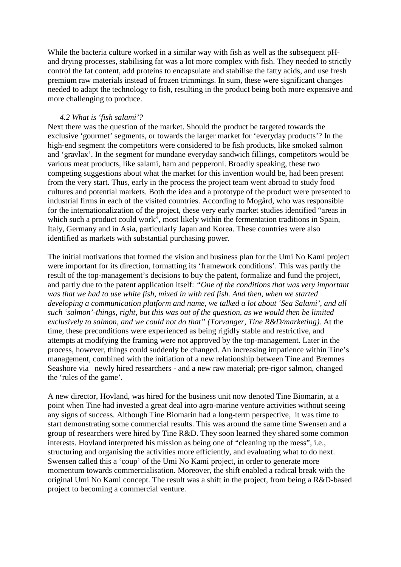While the bacteria culture worked in a similar way with fish as well as the subsequent pHand drying processes, stabilising fat was a lot more complex with fish. They needed to strictly control the fat content, add proteins to encapsulate and stabilise the fatty acids, and use fresh premium raw materials instead of frozen trimmings. In sum, these were significant changes needed to adapt the technology to fish, resulting in the product being both more expensive and more challenging to produce.

### *4.2 What is 'fish salami'?*

Next there was the question of the market. Should the product be targeted towards the exclusive 'gourmet' segments, or towards the larger market for 'everyday products'? In the high-end segment the competitors were considered to be fish products, like smoked salmon and 'gravlax'. In the segment for mundane everyday sandwich fillings, competitors would be various meat products, like salami, ham and pepperoni. Broadly speaking, these two competing suggestions about what the market for this invention would be, had been present from the very start. Thus, early in the process the project team went abroad to study food cultures and potential markets. Both the idea and a prototype of the product were presented to industrial firms in each of the visited countries. According to Mogård, who was responsible for the internationalization of the project, these very early market studies identified "areas in which such a product could work", most likely within the fermentation traditions in Spain, Italy, Germany and in Asia, particularly Japan and Korea. These countries were also identified as markets with substantial purchasing power.

The initial motivations that formed the vision and business plan for the Umi No Kami project were important for its direction, formatting its 'framework conditions'. This was partly the result of the top-management's decisions to buy the patent, formalize and fund the project, and partly due to the patent application itself: *"One of the conditions that was very important was that we had to use white fish, mixed in with red fish. And then, when we started developing a communication platform and name, we talked a lot about 'Sea Salami', and all such 'salmon'-things, right, but this was out of the question, as we would then be limited exclusively to salmon, and we could not do that" (Torvanger, Tine R&D/marketing).* At the time, these preconditions were experienced as being rigidly stable and restrictive, and attempts at modifying the framing were not approved by the top-management. Later in the process, however, things could suddenly be changed. An increasing impatience within Tine's management, combined with the initiation of a new relationship between Tine and Bremnes Seashore via newly hired researchers - and a new raw material; pre-rigor salmon, changed the 'rules of the game'.

A new director, Hovland, was hired for the business unit now denoted Tine Biomarin, at a point when Tine had invested a great deal into agro-marine venture activities without seeing any signs of success. Although Tine Biomarin had a long-term perspective, it was time to start demonstrating some commercial results. This was around the same time Swensen and a group of researchers were hired by Tine R&D. They soon learned they shared some common interests. Hovland interpreted his mission as being one of "cleaning up the mess", i.e., structuring and organising the activities more efficiently, and evaluating what to do next. Swensen called this a 'coup' of the Umi No Kami project, in order to generate more momentum towards commercialisation. Moreover, the shift enabled a radical break with the original Umi No Kami concept. The result was a shift in the project, from being a R&D-based project to becoming a commercial venture.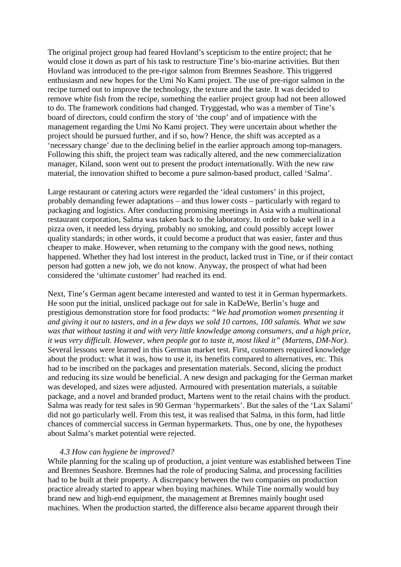The original project group had feared Hovland's scepticism to the entire project; that he would close it down as part of his task to restructure Tine's bio-marine activities. But then Hovland was introduced to the pre-rigor salmon from Bremnes Seashore. This triggered enthusiasm and new hopes for the Umi No Kami project. The use of pre-rigor salmon in the recipe turned out to improve the technology, the texture and the taste. It was decided to remove white fish from the recipe, something the earlier project group had not been allowed to do. The framework conditions had changed. Tryggestad, who was a member of Tine's board of directors, could confirm the story of 'the coup' and of impatience with the management regarding the Umi No Kami project. They were uncertain about whether the project should be pursued further, and if so, how? Hence, the shift was accepted as a 'necessary change' due to the declining belief in the earlier approach among top-managers. Following this shift, the project team was radically altered, and the new commercialization manager, Kiland, soon went out to present the product internationally. With the new raw material, the innovation shifted to become a pure salmon-based product, called 'Salma'.

Large restaurant or catering actors were regarded the 'ideal customers' in this project, probably demanding fewer adaptations – and thus lower costs – particularly with regard to packaging and logistics. After conducting promising meetings in Asia with a multinational restaurant corporation, Salma was taken back to the laboratory. In order to bake well in a pizza oven, it needed less drying, probably no smoking, and could possibly accept lower quality standards; in other words, it could become a product that was easier, faster and thus cheaper to make. However, when returning to the company with the good news, nothing happened. Whether they had lost interest in the product, lacked trust in Tine, or if their contact person had gotten a new job, we do not know. Anyway, the prospect of what had been considered the 'ultimate customer' had reached its end.

Next, Tine's German agent became interested and wanted to test it in German hypermarkets. He soon put the initial, unsliced package out for sale in KaDeWe, Berlin's huge and prestigious demonstration store for food products: *"We had promotion women presenting it and giving it out to tasters, and in a few days we sold 10 cartons, 100 salamis. What we saw was that without tasting it and with very little knowledge among consumers, and a high price, it was very difficult. However, when people got to taste it, most liked it" (Martens, DM-Nor).* Several lessons were learned in this German market test. First, customers required knowledge about the product: what it was, how to use it, its benefits compared to alternatives, etc. This had to be inscribed on the packages and presentation materials. Second, slicing the product and reducing its size would be beneficial. A new design and packaging for the German market was developed, and sizes were adjusted. Armoured with presentation materials, a suitable package, and a novel and branded product, Martens went to the retail chains with the product. Salma was ready for test sales in 90 German 'hypermarkets'. But the sales of the 'Lax Salami' did not go particularly well. From this test, it was realised that Salma, in this form, had little chances of commercial success in German hypermarkets. Thus, one by one, the hypotheses about Salma's market potential were rejected.

## *4.3 How can hygiene be improved?*

While planning for the scaling up of production, a joint venture was established between Tine and Bremnes Seashore. Bremnes had the role of producing Salma, and processing facilities had to be built at their property. A discrepancy between the two companies on production practice already started to appear when buying machines. While Tine normally would buy brand new and high-end equipment, the management at Bremnes mainly bought used machines. When the production started, the difference also became apparent through their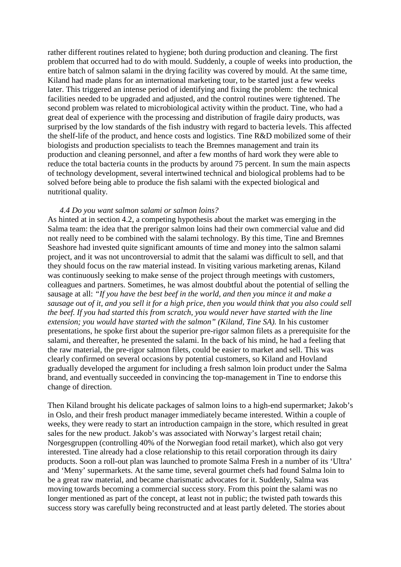rather different routines related to hygiene; both during production and cleaning. The first problem that occurred had to do with mould. Suddenly, a couple of weeks into production, the entire batch of salmon salami in the drying facility was covered by mould. At the same time, Kiland had made plans for an international marketing tour, to be started just a few weeks later. This triggered an intense period of identifying and fixing the problem: the technical facilities needed to be upgraded and adjusted, and the control routines were tightened. The second problem was related to microbiological activity within the product. Tine, who had a great deal of experience with the processing and distribution of fragile dairy products, was surprised by the low standards of the fish industry with regard to bacteria levels. This affected the shelf-life of the product, and hence costs and logistics. Tine R&D mobilized some of their biologists and production specialists to teach the Bremnes management and train its production and cleaning personnel, and after a few months of hard work they were able to reduce the total bacteria counts in the products by around 75 percent. In sum the main aspects of technology development, several intertwined technical and biological problems had to be solved before being able to produce the fish salami with the expected biological and nutritional quality.

#### *4.4 Do you want salmon salami or salmon loins?*

As hinted at in section 4.2, a competing hypothesis about the market was emerging in the Salma team: the idea that the prerigor salmon loins had their own commercial value and did not really need to be combined with the salami technology. By this time, Tine and Bremnes Seashore had invested quite significant amounts of time and money into the salmon salami project, and it was not uncontroversial to admit that the salami was difficult to sell, and that they should focus on the raw material instead. In visiting various marketing arenas, Kiland was continuously seeking to make sense of the project through meetings with customers, colleagues and partners. Sometimes, he was almost doubtful about the potential of selling the sausage at all: *"If you have the best beef in the world, and then you mince it and make a sausage out of it, and you sell it for a high price, then you would think that you also could sell the beef. If you had started this from scratch, you would never have started with the line extension; you would have started with the salmon" (Kiland, Tine SA).* In his customer presentations, he spoke first about the superior pre-rigor salmon filets as a prerequisite for the salami, and thereafter, he presented the salami. In the back of his mind, he had a feeling that the raw material, the pre-rigor salmon filets, could be easier to market and sell. This was clearly confirmed on several occasions by potential customers, so Kiland and Hovland gradually developed the argument for including a fresh salmon loin product under the Salma brand, and eventually succeeded in convincing the top-management in Tine to endorse this change of direction.

Then Kiland brought his delicate packages of salmon loins to a high-end supermarket; Jakob's in Oslo, and their fresh product manager immediately became interested. Within a couple of weeks, they were ready to start an introduction campaign in the store, which resulted in great sales for the new product. Jakob's was associated with Norway's largest retail chain; Norgesgruppen (controlling 40% of the Norwegian food retail market), which also got very interested. Tine already had a close relationship to this retail corporation through its dairy products. Soon a roll-out plan was launched to promote Salma Fresh in a number of its 'Ultra' and 'Meny' supermarkets. At the same time, several gourmet chefs had found Salma loin to be a great raw material, and became charismatic advocates for it. Suddenly, Salma was moving towards becoming a commercial success story. From this point the salami was no longer mentioned as part of the concept, at least not in public; the twisted path towards this success story was carefully being reconstructed and at least partly deleted. The stories about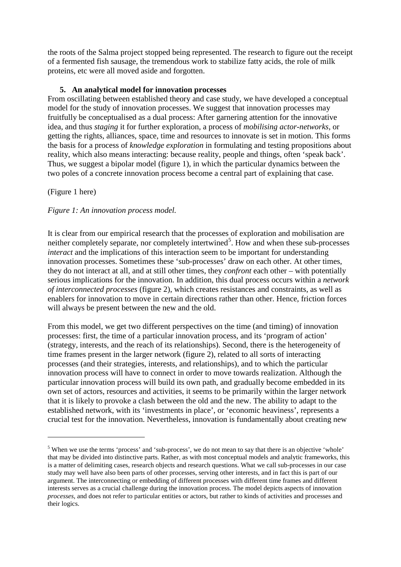the roots of the Salma project stopped being represented. The research to figure out the receipt of a fermented fish sausage, the tremendous work to stabilize fatty acids, the role of milk proteins, etc were all moved aside and forgotten.

## **5. An analytical model for innovation processes**

From oscillating between established theory and case study, we have developed a conceptual model for the study of innovation processes. We suggest that innovation processes may fruitfully be conceptualised as a dual process: After garnering attention for the innovative idea, and thus *staging* it for further exploration, a process of *mobilising actor-networks*, or getting the rights, alliances, space, time and resources to innovate is set in motion. This forms the basis for a process of *knowledge exploration* in formulating and testing propositions about reality, which also means interacting: because reality, people and things, often 'speak back'. Thus, we suggest a bipolar model (figure 1), in which the particular dynamics between the two poles of a concrete innovation process become a central part of explaining that case.

(Figure 1 here)

 $\overline{a}$ 

## *Figure 1: An innovation process model.*

It is clear from our empirical research that the processes of exploration and mobilisation are neither completely separate, nor completely intertwined<sup>[5](#page-16-0)</sup>. How and when these sub-processes *interact* and the implications of this interaction seem to be important for understanding innovation processes. Sometimes these 'sub-processes' draw on each other. At other times, they do not interact at all, and at still other times, they *confront* each other – with potentially serious implications for the innovation. In addition, this dual process occurs within a *network of interconnected processes* (figure 2), which creates resistances and constraints, as well as enablers for innovation to move in certain directions rather than other. Hence, friction forces will always be present between the new and the old.

From this model, we get two different perspectives on the time (and timing) of innovation processes: first, the time of a particular innovation process, and its 'program of action' (strategy, interests, and the reach of its relationships). Second, there is the heterogeneity of time frames present in the larger network (figure 2), related to all sorts of interacting processes (and their strategies, interests, and relationships), and to which the particular innovation process will have to connect in order to move towards realization. Although the particular innovation process will build its own path, and gradually become embedded in its own set of actors, resources and activities, it seems to be primarily within the larger network that it is likely to provoke a clash between the old and the new. The ability to adapt to the established network, with its 'investments in place', or 'economic heaviness', represents a crucial test for the innovation. Nevertheless, innovation is fundamentally about creating new

<span id="page-16-0"></span><sup>&</sup>lt;sup>5</sup> When we use the terms 'process' and 'sub-process', we do not mean to say that there is an objective 'whole' that may be divided into distinctive parts. Rather, as with most conceptual models and analytic frameworks, this is a matter of delimiting cases, research objects and research questions. What we call sub-processes in our case study may well have also been parts of other processes, serving other interests, and in fact this is part of our argument. The interconnecting or embedding of different processes with different time frames and different interests serves as a crucial challenge during the innovation process. The model depicts aspects of innovation *processes*, and does not refer to particular entities or actors, but rather to kinds of activities and processes and their logics.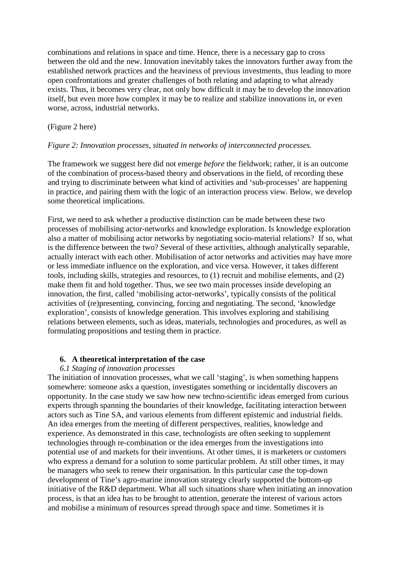combinations and relations in space and time. Hence, there is a necessary gap to cross between the old and the new. Innovation inevitably takes the innovators further away from the established network practices and the heaviness of previous investments, thus leading to more open confrontations and greater challenges of both relating and adapting to what already exists. Thus, it becomes very clear, not only how difficult it may be to develop the innovation itself, but even more how complex it may be to realize and stabilize innovations in, or even worse, across, industrial networks.

### (Figure 2 here)

#### *Figure 2: Innovation processes, situated in networks of interconnected processes.*

The framework we suggest here did not emerge *before* the fieldwork; rather, it is an outcome of the combination of process-based theory and observations in the field, of recording these and trying to discriminate between what kind of activities and 'sub-processes' are happening in practice, and pairing them with the logic of an interaction process view. Below, we develop some theoretical implications.

First, we need to ask whether a productive distinction can be made between these two processes of mobilising actor-networks and knowledge exploration. Is knowledge exploration also a matter of mobilising actor networks by negotiating socio-material relations? If so, what is the difference between the two? Several of these activities, although analytically separable, actually interact with each other. Mobilisation of actor networks and activities may have more or less immediate influence on the exploration, and vice versa. However, it takes different tools, including skills, strategies and resources, to (1) recruit and mobilise elements, and (2) make them fit and hold together. Thus, we see two main processes inside developing an innovation, the first, called 'mobilising actor-networks', typically consists of the political activities of (re)presenting, convincing, forcing and negotiating. The second, 'knowledge exploration', consists of knowledge generation. This involves exploring and stabilising relations between elements, such as ideas, materials, technologies and procedures, as well as formulating propositions and testing them in practice.

#### **6. A theoretical interpretation of the case**

#### *6.1 Staging of innovation processes*

The initiation of innovation processes, what we call 'staging', is when something happens somewhere: someone asks a question, investigates something or incidentally discovers an opportunity. In the case study we saw how new techno-scientific ideas emerged from curious experts through spanning the boundaries of their knowledge, facilitating interaction between actors such as Tine SA, and various elements from different epistemic and industrial fields. An idea emerges from the meeting of different perspectives, realities, knowledge and experience. As demonstrated in this case, technologists are often seeking to supplement technologies through re-combination or the idea emerges from the investigations into potential use of and markets for their inventions. At other times, it is marketers or customers who express a demand for a solution to some particular problem. At still other times, it may be managers who seek to renew their organisation. In this particular case the top-down development of Tine's agro-marine innovation strategy clearly supported the bottom-up initiative of the R&D department. What all such situations share when initiating an innovation process, is that an idea has to be brought to attention*,* generate the interest of various actors and mobilise a minimum of resources spread through space and time. Sometimes it is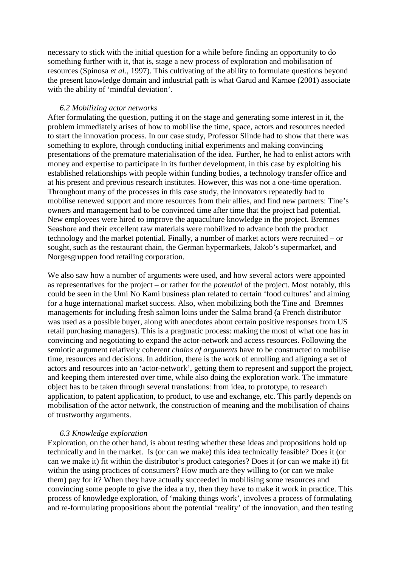necessary to stick with the initial question for a while before finding an opportunity to do something further with it, that is, stage a new process of exploration and mobilisation of resources (Spinosa *et al.*, 1997). This cultivating of the ability to formulate questions beyond the present knowledge domain and industrial path is what Garud and Karnøe (2001) associate with the ability of 'mindful deviation'.

#### *6.2 Mobilizing actor networks*

After formulating the question, putting it on the stage and generating some interest in it, the problem immediately arises of how to mobilise the time, space, actors and resources needed to start the innovation process. In our case study, Professor Slinde had to show that there was something to explore, through conducting initial experiments and making convincing presentations of the premature materialisation of the idea. Further, he had to enlist actors with money and expertise to participate in its further development, in this case by exploiting his established relationships with people within funding bodies, a technology transfer office and at his present and previous research institutes. However, this was not a one-time operation. Throughout many of the processes in this case study, the innovators repeatedly had to mobilise renewed support and more resources from their allies, and find new partners: Tine's owners and management had to be convinced time after time that the project had potential. New employees were hired to improve the aquaculture knowledge in the project. Bremnes Seashore and their excellent raw materials were mobilized to advance both the product technology and the market potential. Finally, a number of market actors were recruited – or sought, such as the restaurant chain, the German hypermarkets, Jakob's supermarket, and Norgesgruppen food retailing corporation.

We also saw how a number of arguments were used, and how several actors were appointed as representatives for the project – or rather for the *potential* of the project. Most notably, this could be seen in the Umi No Kami business plan related to certain 'food cultures' and aiming for a huge international market success. Also, when mobilizing both the Tine and Bremnes managements for including fresh salmon loins under the Salma brand (a French distributor was used as a possible buyer, along with anecdotes about certain positive responses from US retail purchasing managers). This is a pragmatic process: making the most of what one has in convincing and negotiating to expand the actor-network and access resources. Following the semiotic argument relatively coherent *chains of arguments* have to be constructed to mobilise time, resources and decisions. In addition, there is the work of enrolling and aligning a set of actors and resources into an 'actor-network', getting them to represent and support the project, and keeping them interested over time, while also doing the exploration work. The immature object has to be taken through several translations: from idea, to prototype, to research application, to patent application, to product, to use and exchange, etc. This partly depends on mobilisation of the actor network, the construction of meaning and the mobilisation of chains of trustworthy arguments.

## *6.3 Knowledge exploration*

Exploration, on the other hand, is about testing whether these ideas and propositions hold up technically and in the market. Is (or can we make) this idea technically feasible? Does it (or can we make it) fit within the distributor's product categories? Does it (or can we make it) fit within the using practices of consumers? How much are they willing to (or can we make them) pay for it? When they have actually succeeded in mobilising some resources and convincing some people to give the idea a try, then they have to make it work in practice. This process of knowledge exploration, of 'making things work', involves a process of formulating and re-formulating propositions about the potential 'reality' of the innovation, and then testing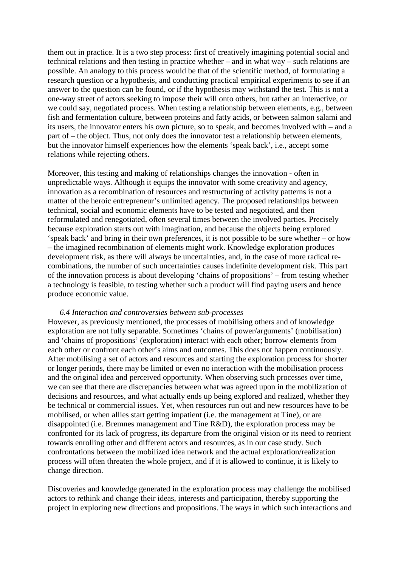them out in practice. It is a two step process: first of creatively imagining potential social and technical relations and then testing in practice whether – and in what way – such relations are possible. An analogy to this process would be that of the scientific method, of formulating a research question or a hypothesis, and conducting practical empirical experiments to see if an answer to the question can be found, or if the hypothesis may withstand the test. This is not a one-way street of actors seeking to impose their will onto others, but rather an interactive, or we could say, negotiated process. When testing a relationship between elements, e.g., between fish and fermentation culture, between proteins and fatty acids, or between salmon salami and its users, the innovator enters his own picture, so to speak, and becomes involved with – and a part of – the object. Thus, not only does the innovator test a relationship between elements, but the innovator himself experiences how the elements 'speak back', i.e., accept some relations while rejecting others.

Moreover, this testing and making of relationships changes the innovation - often in unpredictable ways. Although it equips the innovator with some creativity and agency, innovation as a recombination of resources and restructuring of activity patterns is not a matter of the heroic entrepreneur's unlimited agency. The proposed relationships between technical, social and economic elements have to be tested and negotiated, and then reformulated and renegotiated, often several times between the involved parties. Precisely because exploration starts out with imagination, and because the objects being explored 'speak back' and bring in their own preferences, it is not possible to be sure whether – or how – the imagined recombination of elements might work. Knowledge exploration produces development risk, as there will always be uncertainties, and, in the case of more radical recombinations, the number of such uncertainties causes indefinite development risk. This part of the innovation process is about developing 'chains of propositions' – from testing whether a technology is feasible, to testing whether such a product will find paying users and hence produce economic value.

#### *6.4 Interaction and controversies between sub-processes*

However, as previously mentioned, the processes of mobilising others and of knowledge exploration are not fully separable. Sometimes 'chains of power/arguments' (mobilisation) and 'chains of propositions' (exploration) interact with each other; borrow elements from each other or confront each other's aims and outcomes. This does not happen continuously. After mobilising a set of actors and resources and starting the exploration process for shorter or longer periods, there may be limited or even no interaction with the mobilisation process and the original idea and perceived opportunity. When observing such processes over time, we can see that there are discrepancies between what was agreed upon in the mobilization of decisions and resources, and what actually ends up being explored and realized, whether they be technical or commercial issues. Yet, when resources run out and new resources have to be mobilised, or when allies start getting impatient (i.e. the management at Tine), or are disappointed (i.e. Bremnes management and Tine R&D), the exploration process may be confronted for its lack of progress, its departure from the original vision or its need to reorient towards enrolling other and different actors and resources, as in our case study. Such confrontations between the mobilized idea network and the actual exploration/realization process will often threaten the whole project, and if it is allowed to continue, it is likely to change direction.

Discoveries and knowledge generated in the exploration process may challenge the mobilised actors to rethink and change their ideas, interests and participation, thereby supporting the project in exploring new directions and propositions. The ways in which such interactions and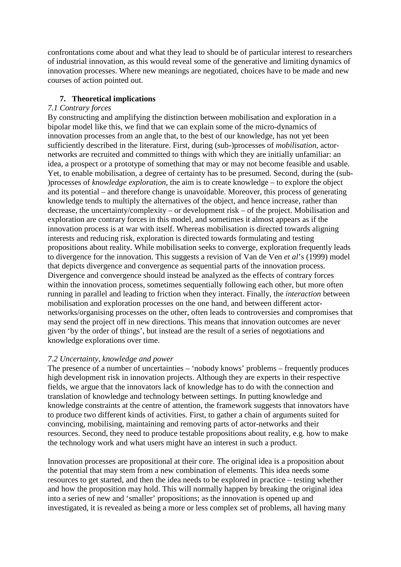confrontations come about and what they lead to should be of particular interest to researchers of industrial innovation, as this would reveal some of the generative and limiting dynamics of innovation processes. Where new meanings are negotiated, choices have to be made and new courses of action pointed out.

## **7. Theoretical implications**

## *7.1 Contrary forces*

By constructing and amplifying the distinction between mobilisation and exploration in a bipolar model like this, we find that we can explain some of the micro-dynamics of innovation processes from an angle that, to the best of our knowledge, has not yet been sufficiently described in the literature. First, during (sub-)processes of *mobilisation*, actornetworks are recruited and committed to things with which they are initially unfamiliar: an idea, a prospect or a prototype of something that may or may not become feasible and usable. Yet, to enable mobilisation, a degree of certainty has to be presumed. Second, during the (sub- )processes of *knowledge exploration*, the aim is to create knowledge – to explore the object and its potential – and therefore change is unavoidable. Moreover, this process of generating knowledge tends to multiply the alternatives of the object, and hence increase, rather than decrease, the uncertainty/complexity – or development risk – of the project. Mobilisation and exploration are contrary forces in this model, and sometimes it almost appears as if the innovation process is at war with itself. Whereas mobilisation is directed towards aligning interests and reducing risk, exploration is directed towards formulating and testing propositions about reality. While mobilisation seeks to converge, exploration frequently leads to divergence for the innovation. This suggests a revision of Van de Ven *et al*'s (1999) model that depicts divergence and convergence as sequential parts of the innovation process. Divergence and convergence should instead be analyzed as the effects of contrary forces within the innovation process, sometimes sequentially following each other, but more often running in parallel and leading to friction when they interact. Finally, the *interaction* between mobilisation and exploration processes on the one hand, and between different actornetworks/organising processes on the other, often leads to controversies and compromises that may send the project off in new directions. This means that innovation outcomes are never given 'by the order of things', but instead are the result of a series of negotiations and knowledge explorations over time.

## *7.2 Uncertainty, knowledge and power*

The presence of a number of uncertainties – 'nobody knows' problems – frequently produces high development risk in innovation projects. Although they are experts in their respective fields, we argue that the innovators lack of knowledge has to do with the connection and translation of knowledge and technology between settings. In putting knowledge and knowledge constraints at the centre of attention, the framework suggests that innovators have to produce two different kinds of activities. First, to gather a chain of arguments suited for convincing, mobilising, maintaining and removing parts of actor-networks and their resources. Second, they need to produce testable propositions about reality, e.g. how to make the technology work and what users might have an interest in such a product.

Innovation processes are propositional at their core. The original idea is a proposition about the potential that may stem from a new combination of elements. This idea needs some resources to get started, and then the idea needs to be explored in practice – testing whether and how the proposition may hold. This will normally happen by breaking the original idea into a series of new and 'smaller' propositions; as the innovation is opened up and investigated, it is revealed as being a more or less complex set of problems, all having many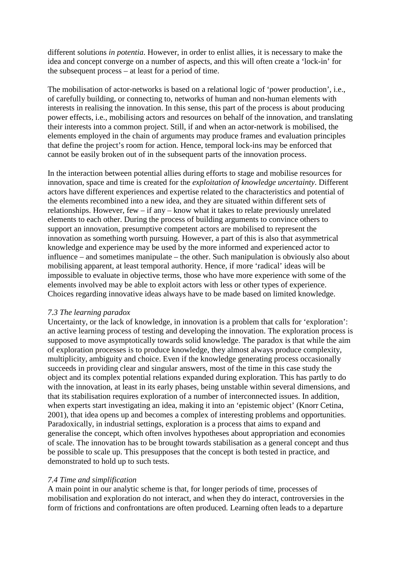different solutions *in potentia*. However, in order to enlist allies, it is necessary to make the idea and concept converge on a number of aspects, and this will often create a 'lock-in' for the subsequent process – at least for a period of time.

The mobilisation of actor-networks is based on a relational logic of 'power production', i.e., of carefully building, or connecting to, networks of human and non-human elements with interests in realising the innovation. In this sense, this part of the process is about producing power effects, i.e., mobilising actors and resources on behalf of the innovation, and translating their interests into a common project. Still, if and when an actor-network is mobilised, the elements employed in the chain of arguments may produce frames and evaluation principles that define the project's room for action. Hence, temporal lock-ins may be enforced that cannot be easily broken out of in the subsequent parts of the innovation process.

In the interaction between potential allies during efforts to stage and mobilise resources for innovation, space and time is created for the *exploitation of knowledge uncertainty*. Different actors have different experiences and expertise related to the characteristics and potential of the elements recombined into a new idea, and they are situated within different sets of relationships. However, few – if any – know what it takes to relate previously unrelated elements to each other. During the process of building arguments to convince others to support an innovation, presumptive competent actors are mobilised to represent the innovation as something worth pursuing. However, a part of this is also that asymmetrical knowledge and experience may be used by the more informed and experienced actor to influence – and sometimes manipulate – the other. Such manipulation is obviously also about mobilising apparent, at least temporal authority. Hence, if more 'radical' ideas will be impossible to evaluate in objective terms, those who have more experience with some of the elements involved may be able to exploit actors with less or other types of experience. Choices regarding innovative ideas always have to be made based on limited knowledge.

## *7.3 The learning paradox*

Uncertainty, or the lack of knowledge, in innovation is a problem that calls for 'exploration': an active learning process of testing and developing the innovation. The exploration process is supposed to move asymptotically towards solid knowledge. The paradox is that while the aim of exploration processes is to produce knowledge, they almost always produce complexity, multiplicity, ambiguity and choice. Even if the knowledge generating process occasionally succeeds in providing clear and singular answers, most of the time in this case study the object and its complex potential relations expanded during exploration. This has partly to do with the innovation, at least in its early phases, being unstable within several dimensions, and that its stabilisation requires exploration of a number of interconnected issues. In addition, when experts start investigating an idea, making it into an 'epistemic object' (Knorr Cetina, 2001), that idea opens up and becomes a complex of interesting problems and opportunities. Paradoxically, in industrial settings, exploration is a process that aims to expand and generalise the concept, which often involves hypotheses about appropriation and economies of scale. The innovation has to be brought towards stabilisation as a general concept and thus be possible to scale up. This presupposes that the concept is both tested in practice, and demonstrated to hold up to such tests.

## *7.4 Time and simplification*

A main point in our analytic scheme is that, for longer periods of time, processes of mobilisation and exploration do not interact, and when they do interact, controversies in the form of frictions and confrontations are often produced. Learning often leads to a departure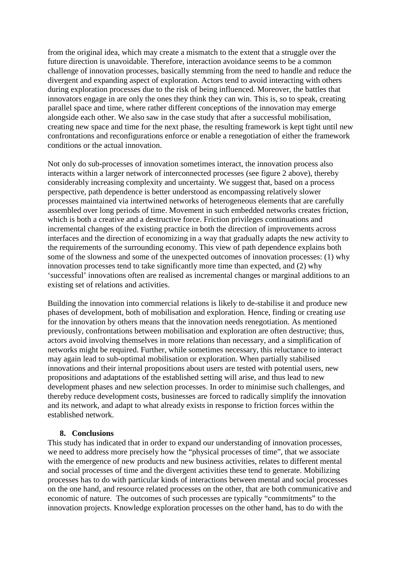from the original idea, which may create a mismatch to the extent that a struggle over the future direction is unavoidable. Therefore, interaction avoidance seems to be a common challenge of innovation processes, basically stemming from the need to handle and reduce the divergent and expanding aspect of exploration. Actors tend to avoid interacting with others during exploration processes due to the risk of being influenced. Moreover, the battles that innovators engage in are only the ones they think they can win. This is, so to speak, creating parallel space and time, where rather different conceptions of the innovation may emerge alongside each other. We also saw in the case study that after a successful mobilisation, creating new space and time for the next phase, the resulting framework is kept tight until new confrontations and reconfigurations enforce or enable a renegotiation of either the framework conditions or the actual innovation.

Not only do sub-processes of innovation sometimes interact, the innovation process also interacts within a larger network of interconnected processes (see figure 2 above), thereby considerably increasing complexity and uncertainty. We suggest that, based on a process perspective, path dependence is better understood as encompassing relatively slower processes maintained via intertwined networks of heterogeneous elements that are carefully assembled over long periods of time. Movement in such embedded networks creates friction, which is both a creative and a destructive force. Friction privileges continuations and incremental changes of the existing practice in both the direction of improvements across interfaces and the direction of economizing in a way that gradually adapts the new activity to the requirements of the surrounding economy. This view of path dependence explains both some of the slowness and some of the unexpected outcomes of innovation processes: (1) why innovation processes tend to take significantly more time than expected, and (2) why 'successful' innovations often are realised as incremental changes or marginal additions to an existing set of relations and activities.

Building the innovation into commercial relations is likely to de-stabilise it and produce new phases of development, both of mobilisation and exploration. Hence, finding or creating *use*  for the innovation by others means that the innovation needs renegotiation. As mentioned previously, confrontations between mobilisation and exploration are often destructive; thus, actors avoid involving themselves in more relations than necessary, and a simplification of networks might be required. Further, while sometimes necessary, this reluctance to interact may again lead to sub-optimal mobilisation or exploration. When partially stabilised innovations and their internal propositions about users are tested with potential users, new propositions and adaptations of the established setting will arise, and thus lead to new development phases and new selection processes. In order to minimise such challenges, and thereby reduce development costs, businesses are forced to radically simplify the innovation and its network, and adapt to what already exists in response to friction forces within the established network.

## **8. Conclusions**

This study has indicated that in order to expand our understanding of innovation processes, we need to address more precisely how the "physical processes of time", that we associate with the emergence of new products and new business activities, relates to different mental and social processes of time and the divergent activities these tend to generate. Mobilizing processes has to do with particular kinds of interactions between mental and social processes on the one hand, and resource related processes on the other, that are both communicative and economic of nature. The outcomes of such processes are typically "commitments" to the innovation projects. Knowledge exploration processes on the other hand, has to do with the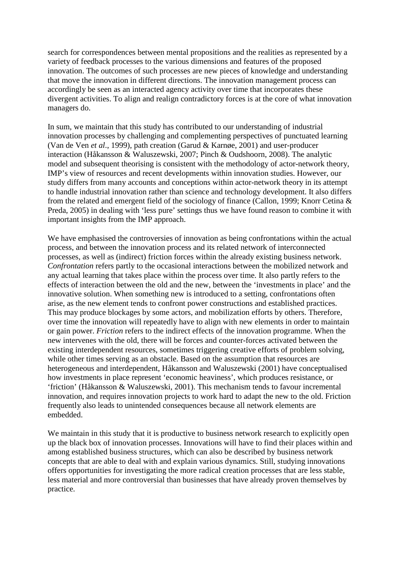search for correspondences between mental propositions and the realities as represented by a variety of feedback processes to the various dimensions and features of the proposed innovation. The outcomes of such processes are new pieces of knowledge and understanding that move the innovation in different directions. The innovation management process can accordingly be seen as an interacted agency activity over time that incorporates these divergent activities. To align and realign contradictory forces is at the core of what innovation managers do.

In sum, we maintain that this study has contributed to our understanding of industrial innovation processes by challenging and complementing perspectives of punctuated learning (Van de Ven *et al*., 1999), path creation (Garud & Karnøe, 2001) and user-producer interaction (Håkansson & Waluszewski, 2007; Pinch & Oudshoorn, 2008). The analytic model and subsequent theorising is consistent with the methodology of actor-network theory, IMP's view of resources and recent developments within innovation studies. However, our study differs from many accounts and conceptions within actor-network theory in its attempt to handle industrial innovation rather than science and technology development. It also differs from the related and emergent field of the sociology of finance (Callon, 1999; Knorr Cetina & Preda, 2005) in dealing with 'less pure' settings thus we have found reason to combine it with important insights from the IMP approach.

We have emphasised the controversies of innovation as being confrontations within the actual process, and between the innovation process and its related network of interconnected processes, as well as (indirect) friction forces within the already existing business network. *Confrontation* refers partly to the occasional interactions between the mobilized network and any actual learning that takes place within the process over time. It also partly refers to the effects of interaction between the old and the new, between the 'investments in place' and the innovative solution. When something new is introduced to a setting, confrontations often arise, as the new element tends to confront power constructions and established practices. This may produce blockages by some actors, and mobilization efforts by others. Therefore, over time the innovation will repeatedly have to align with new elements in order to maintain or gain power. *Friction* refers to the indirect effects of the innovation programme. When the new intervenes with the old, there will be forces and counter-forces activated between the existing interdependent resources, sometimes triggering creative efforts of problem solving, while other times serving as an obstacle. Based on the assumption that resources are heterogeneous and interdependent, Håkansson and Waluszewski (2001) have conceptualised how investments in place represent 'economic heaviness', which produces resistance, or 'friction' (Håkansson & Waluszewski, 2001). This mechanism tends to favour incremental innovation, and requires innovation projects to work hard to adapt the new to the old. Friction frequently also leads to unintended consequences because all network elements are embedded.

We maintain in this study that it is productive to business network research to explicitly open up the black box of innovation processes. Innovations will have to find their places within and among established business structures, which can also be described by business network concepts that are able to deal with and explain various dynamics. Still, studying innovations offers opportunities for investigating the more radical creation processes that are less stable, less material and more controversial than businesses that have already proven themselves by practice.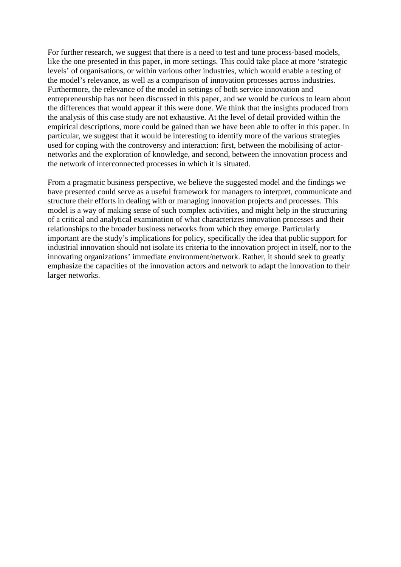For further research, we suggest that there is a need to test and tune process-based models, like the one presented in this paper, in more settings. This could take place at more 'strategic levels' of organisations, or within various other industries, which would enable a testing of the model's relevance, as well as a comparison of innovation processes across industries. Furthermore, the relevance of the model in settings of both service innovation and entrepreneurship has not been discussed in this paper, and we would be curious to learn about the differences that would appear if this were done. We think that the insights produced from the analysis of this case study are not exhaustive. At the level of detail provided within the empirical descriptions, more could be gained than we have been able to offer in this paper. In particular, we suggest that it would be interesting to identify more of the various strategies used for coping with the controversy and interaction: first, between the mobilising of actornetworks and the exploration of knowledge, and second, between the innovation process and the network of interconnected processes in which it is situated.

From a pragmatic business perspective, we believe the suggested model and the findings we have presented could serve as a useful framework for managers to interpret, communicate and structure their efforts in dealing with or managing innovation projects and processes. This model is a way of making sense of such complex activities, and might help in the structuring of a critical and analytical examination of what characterizes innovation processes and their relationships to the broader business networks from which they emerge. Particularly important are the study's implications for policy, specifically the idea that public support for industrial innovation should not isolate its criteria to the innovation project in itself, nor to the innovating organizations' immediate environment/network. Rather, it should seek to greatly emphasize the capacities of the innovation actors and network to adapt the innovation to their larger networks.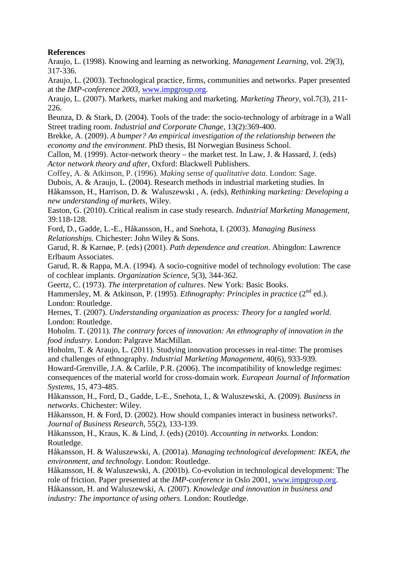## **References**

Araujo, L. (1998). Knowing and learning as networking. *Management Learning,* vol. 29(3), 317-336.

Araujo, L. (2003). Technological practice, firms, communities and networks. Paper presented at the *IMP-conference 2003,* [www.impgroup.org.](http://www.impgroup.org/)

Araujo, L. (2007). Markets, market making and marketing. *Marketing Theory*, vol.7(3), 211- 226.

Beunza, D. & Stark, D. (2004). Tools of the trade: the socio-technology of arbitrage in a Wall Street trading room. *Industrial and Corporate Change*, 13(2):369-400.

Brekke, A. (2009). *A bumper? An empirical investigation of the relationship between the economy and the environment*. PhD thesis, BI Norwegian Business School.

Callon, M. (1999). Actor-network theory – the market test. In Law, J. & Hassard, J. (eds) *Actor network theory and after*, Oxford: Blackwell Publishers.

Coffey, A. & Atkinson, P. (1996). *Making sense of qualitative data*. London: Sage.

Dubois, A. & Araujo, L. (2004). Research methods in industrial marketing studies. In

Håkansson, H., Harrison, D. & Waluszewski , A. (eds), *Rethinking marketing: Developing a new understanding of markets*, Wiley.

Easton, G. (2010). Critical realism in case study research. *Industrial Marketing Management*, 39:118-128.

Ford, D., Gadde, L.-E., Håkansson, H., and Snehota, I. (2003). *Managing Business Relationships.* Chichester: John Wiley & Sons.

Garud, R. & Karnøe, P. (eds) (2001). *Path dependence and creation*. Abingdon: Lawrence Erlbaum Associates.

Garud, R. & Rappa, M.A. (1994). A socio-cognitive model of technology evolution: The case of cochlear implants. *Organization Science*, 5(3), 344-362.

Geertz, C. (1973). *The interpretation of cultures*. New York: Basic Books.

Hammersley, M. & Atkinson, P. (1995). *Ethnography: Principles in practice* (2<sup>nd</sup> ed.). London: Routledge.

Hernes, T. (2007). *Understanding organization as process: Theory for a tangled world*. London: Routledge.

Hoholm. T. (2011). *The contrary forces of innovation: An ethnography of innovation in the food industry*. London: Palgrave MacMillan.

Hoholm, T. & Araujo, L. (2011). Studying innovation processes in real-time: The promises and challenges of ethnography. *Industrial Marketing Management,* 40(6), 933-939*.*

Howard-Grenville, J.A. & Carlile, P.R. (2006). The incompatibility of knowledge regimes: consequences of the material world for cross-domain work. *European Journal of Information Systems*, 15, 473-485.

Håkansson, H., Ford, D., Gadde, L-E., Snehota, I., & Waluszewski, A. (2009). *Business in networks*. Chichester: Wiley.

Håkansson, H. & Ford, D. (2002). How should companies interact in business networks?. *Journal of Business Research,* 55(2), 133-139.

Håkansson, H., Kraus, K. & Lind, J. (eds) (2010). *Accounting in networks.* London: Routledge.

Håkansson, H. & Waluszewski, A. (2001a). *Managing technological development: IKEA, the environment, and technology*. London: Routledge.

Håkansson, H. & Waluszewski, A. (2001b). Co-evolution in technological development: The role of friction. Paper presented at the *IMP-conference* in Oslo 2001, [www.impgroup.org.](http://www.impgroup.org/)

Håkansson, H. and Waluszewski, A. (2007). *Knowledge and innovation in business and industry: The importance of using others*. London: Routledge.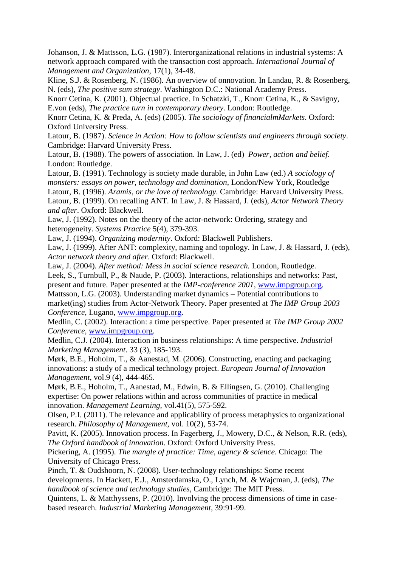Johanson, J. & Mattsson, L.G. (1987). Interorganizational relations in industrial systems: A network approach compared with the transaction cost approach. *International Journal of Management and Organization*, 17(1), 34-48.

Kline, S.J. & Rosenberg, N. (1986). An overview of onnovation. In Landau, R. & Rosenberg, N. (eds), *The positive sum strategy*. Washington D.C.: National Academy Press.

Knorr Cetina, K. (2001). Objectual practice. In Schatzki, T., Knorr Cetina, K., & Savigny, E.von (eds), *The practice turn in contemporary theory*. London: Routledge.

Knorr Cetina, K. & Preda, A. (eds) (2005). *The sociology of financialmMarkets*. Oxford: Oxford University Press.

Latour, B. (1987). *Science in Action: How to follow scientists and engineers through society*. Cambridge: Harvard University Press.

Latour, B. (1988). The powers of association. In Law, J. (ed) *Power, action and belief*. London: Routledge.

Latour, B. (1991). Technology is society made durable, in John Law (ed.) *A sociology of monsters: essays on power, technology and domination,* London/New York, Routledge

Latour, B. (1996). *Aramis, or the love of technology*. Cambridge: Harvard University Press. Latour, B. (1999). On recalling ANT. In Law, J. & Hassard, J. (eds), *Actor Network Theory and after*. Oxford: Blackwell.

Law, J. (1992). Notes on the theory of the actor-network: Ordering, strategy and heterogeneity. *Systems Practice* 5(4), 379-393.

Law, J. (1994). *Organizing modernity*. Oxford: Blackwell Publishers.

Law, J. (1999). After ANT: complexity, naming and topology. In Law, J. & Hassard, J. (eds), *Actor network theory and after*. Oxford: Blackwell.

Law, J. (2004)*. After method: Mess in social science research.* London, Routledge.

Leek, S., Turnbull, P., & Naude, P. (2003). Interactions, relationships and networks: Past, present and future. Paper presented at the *IMP-conference 2001*, [www.impgroup.org.](http://www.impgroup.org/) Mattsson, L.G. (2003). Understanding market dynamics – Potential contributions to

market(ing) studies from Actor-Network Theory. Paper presented at *The IMP Group 2003 Conference*, Lugano, [www.impgroup.org.](http://www.impgroup.org/)

Medlin, C. (2002). Interaction: a time perspective. Paper presented at *The IMP Group 2002 Conference,* [www.impgroup.org.](http://www.impgroup.org/)

Medlin, C.J. (2004). Interaction in business relationships: A time perspective. *Industrial Marketing Management*. 33 (3), 185-193.

Mørk, B.E., Hoholm, T., & Aanestad, M. (2006). Constructing, enacting and packaging innovations: a study of a medical technology project. *European Journal of Innovation Management*, vol.9 (4), 444-465.

Mørk, B.E., Hoholm, T., Aanestad, M., Edwin, B. & Ellingsen, G. (2010). Challenging expertise: On power relations within and across communities of practice in medical innovation. *Management Learning,* vol.41(5), 575-592.

Olsen, P.I. (2011). The relevance and applicability of process metaphysics to organizational research. *Philosophy of Management,* vol. 10(2), 53-74.

Pavitt, K. (2005). Innovation process. In Fagerberg, J., Mowery, D.C., & Nelson, R.R. (eds), *The Oxford handbook of innovation*. Oxford: Oxford University Press.

Pickering, A. (1995). *The mangle of practice: Time, agency & science*. Chicago: The University of Chicago Press.

Pinch, T. & Oudshoorn, N. (2008). User-technology relationships: Some recent

developments. In Hackett, E.J., Amsterdamska, O., Lynch, M. & Wajcman, J. (eds), *The handbook of science and technology studies*, Cambridge: The MIT Press.

Quintens, L. & Matthyssens, P. (2010). Involving the process dimensions of time in casebased research. *Industrial Marketing Management,* 39:91-99.